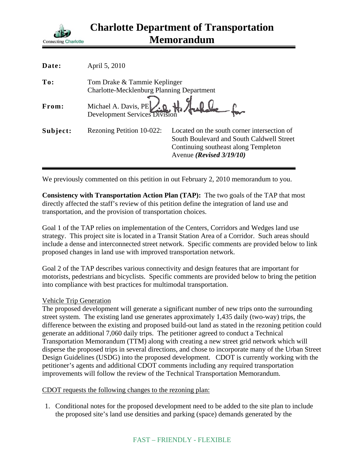

| Date:    | April 5, 2010                                                                    |                                                                                                                                                              |
|----------|----------------------------------------------------------------------------------|--------------------------------------------------------------------------------------------------------------------------------------------------------------|
| To:      | Tom Drake & Tammie Keplinger<br><b>Charlotte-Mecklenburg Planning Department</b> |                                                                                                                                                              |
| From:    | Michael A. Davis, PE 20 H. Hallele                                               |                                                                                                                                                              |
| Subject: | Rezoning Petition 10-022:                                                        | Located on the south corner intersection of<br>South Boulevard and South Caldwell Street<br>Continuing southeast along Templeton<br>Avenue (Revised 3/19/10) |

We previously commented on this petition in out February 2, 2010 memorandum to you.

**Consistency with Transportation Action Plan (TAP):** The two goals of the TAP that most directly affected the staff's review of this petition define the integration of land use and transportation, and the provision of transportation choices.

Goal 1 of the TAP relies on implementation of the Centers, Corridors and Wedges land use strategy. This project site is located in a Transit Station Area of a Corridor. Such areas should include a dense and interconnected street network. Specific comments are provided below to link proposed changes in land use with improved transportation network.

Goal 2 of the TAP describes various connectivity and design features that are important for motorists, pedestrians and bicyclists. Specific comments are provided below to bring the petition into compliance with best practices for multimodal transportation.

## Vehicle Trip Generation

The proposed development will generate a significant number of new trips onto the surrounding street system. The existing land use generates approximately 1,435 daily (two-way) trips, the difference between the existing and proposed build-out land as stated in the rezoning petition could generate an additional 7,060 daily trips. The petitioner agreed to conduct a Technical Transportation Memorandum (TTM) along with creating a new street grid network which will disperse the proposed trips in several directions, and chose to incorporate many of the Urban Street Design Guidelines (USDG) into the proposed development. CDOT is currently working with the petitioner's agents and additional CDOT comments including any required transportation improvements will follow the review of the Technical Transportation Memorandum.

CDOT requests the following changes to the rezoning plan:

1. Conditional notes for the proposed development need to be added to the site plan to include the proposed site's land use densities and parking (space) demands generated by the